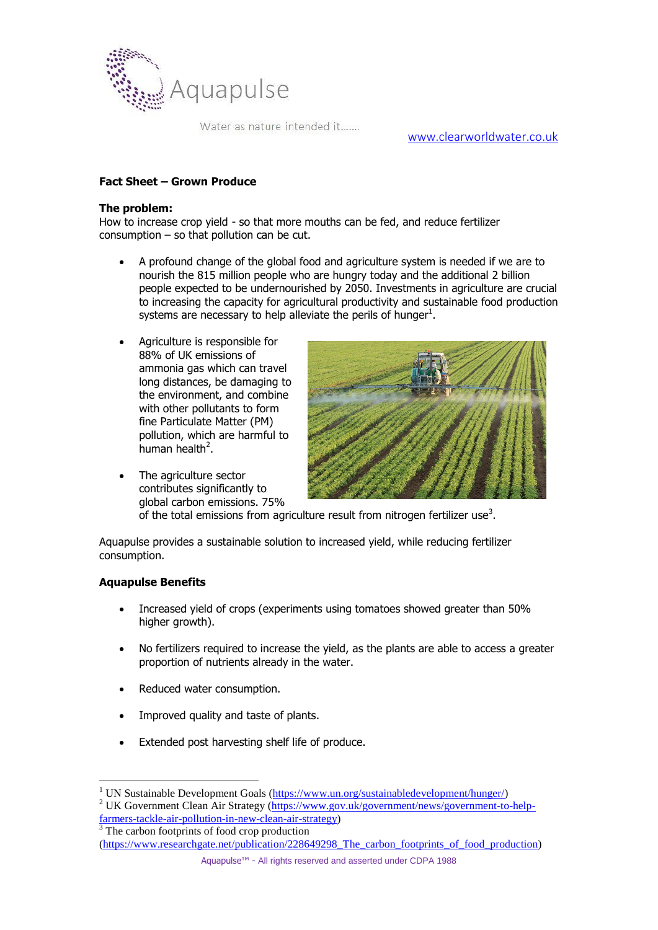

Water as nature intended it.......

[www.clearworldwater.co.uk](http://www.clearworldwater.co.uk/)

## **Fact Sheet – Grown Produce**

### **The problem:**

How to increase crop yield - so that more mouths can be fed, and reduce fertilizer consumption – so that pollution can be cut.

- A profound change of the global food and agriculture system is needed if we are to nourish the 815 million people who are hungry today and the additional 2 billion people expected to be undernourished by 2050. Investments in agriculture are crucial to increasing the capacity for agricultural productivity and sustainable food production systems are necessary to help alleviate the perils of hunger $^1$ .
- Agriculture is responsible for 88% of UK emissions of ammonia gas which can travel long distances, be damaging to the environment, and combine with other pollutants to form fine Particulate Matter (PM) pollution, which are harmful to human health<sup>2</sup>.



• The agriculture sector contributes significantly to global carbon emissions. 75% of the total emissions from agriculture result from nitrogen fertilizer use<sup>3</sup>.

Aquapulse provides a sustainable solution to increased yield, while reducing fertilizer consumption.

### **Aquapulse Benefits**

 $\overline{a}$ 

- Increased yield of crops (experiments using tomatoes showed greater than 50% higher growth).
- No fertilizers required to increase the yield, as the plants are able to access a greater proportion of nutrients already in the water.
- Reduced water consumption.
- Improved quality and taste of plants.
- Extended post harvesting shelf life of produce.

<sup>3</sup> The carbon footprints of food crop production

Aquapulse™ - All rights reserved and asserted under CDPA 1988

<sup>&</sup>lt;sup>1</sup> UN Sustainable Development Goals [\(https://www.un.org/sustainabledevelopment/hunger/\)](https://www.un.org/sustainabledevelopment/hunger/)

<sup>&</sup>lt;sup>2</sup> UK Government Clean Air Strategy [\(https://www.gov.uk/government/news/government-to-help](https://www.gov.uk/government/news/government-to-help-farmers-tackle-air-pollution-in-new-clean-air-strategy)[farmers-tackle-air-pollution-in-new-clean-air-strategy\)](https://www.gov.uk/government/news/government-to-help-farmers-tackle-air-pollution-in-new-clean-air-strategy)

<sup>(</sup>https://www.researchgate.net/publication/228649298 The carbon footprints of food production)